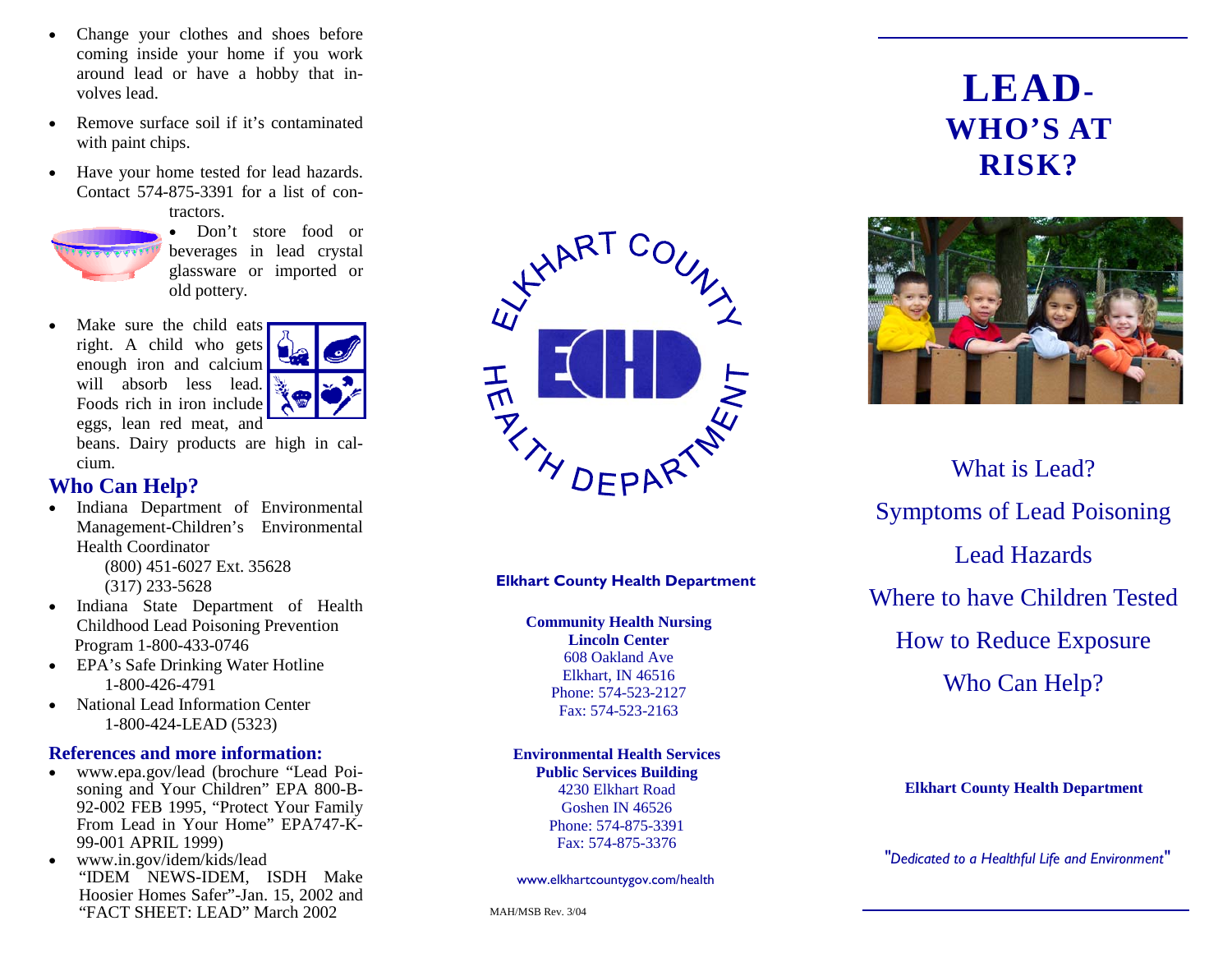- • Change your clothes and shoes before coming inside your home if you work around lead or have a hobby that involves lead.
- • Remove surface soil if it's contaminated with paint chips.
- • Have your home tested for lead hazards. Contact 574-875-3391 for a list of contractors.



• Don't store food or beverages in lead crystal glassware or imported or old pottery.

• Make sure the child eats right. A child who gets enough iron and calcium will absorb less lead. Foods rich in iron include eggs, lean red meat, and



beans. Dairy products are high in calcium.

#### **Who Can Help?**

- • Indiana Department of Environmental Management-Children's Environmental Health Coordinator (800) 451-6027 Ext. 35628 (317) 233-5628
- • Indiana State Department of Health Childhood Lead Poisoning Prevention Program 1-800-433-0746
- EPA's Safe Drinking Water Hotline 1-800-426-4791
- • National Lead Information Center 1-800-424-LEAD (5323)

#### **References and more information:**

- • www.epa.gov/lead (brochure "Lead Poisoning and Your Children" EPA 800-B-92-002 FEB 1995, "Protect Your Family From Lead in Your Home" EPA747-K-99-001 APRIL 1999)
- $\bullet$  www.in.gov/idem/kids/lead "IDEM NEWS-IDEM, ISDH Make Hoosier Homes Safer"-Jan. 15, 2002 and "FACT SHEET: LEAD" March 2002



#### **Elkhart County Health Department**

**Community Health Nursing Lincoln Center** 608 Oakland Ave Elkhart, IN 46516 Phone: 574-523-2127 Fax: 574-523-2163

#### **Environmental Health Services Public Services Building**

4230 Elkhart Road Goshen IN 46526 Phone: 574-875-3391 Fax: 574-875-3376

www.elkhartcountygov.com/health

# **LEAD-WHO'S AT RISK?**



What is Lead? Symptoms of Lead Poisoning Lead Hazards Where to have Children Tested How to Reduce Exposure Who Can Help?

#### **Elkhart County Health Department**

*"Dedicated to a Healthful Life and Environment"*